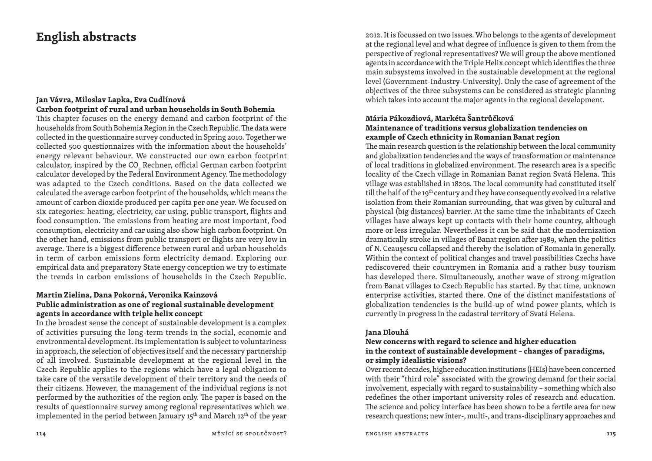# **English abstracts**

# **Jan Vávra, Miloslav Lapka, Eva CudlínováCarbon footprint of rural and urban households in South Bohemia**

This chapter focuses on the energy demand and carbon footprint of the households from South Bohemia Region in the Czech Republic. The data were collected in the questionnaire survey conducted in Spring 2010. Together we collected 500 questionnaires with the information about the households' energy relevant behaviour. We constructed our own carbon footprint calculator, inspired by the CO<sub>2</sub> Rechner, official German carbon footprint calculator developed by the Federal Environment Agency. The methodology was adapted to the Czech conditions. Based on the data collected we calculated the average carbon footprint of the households, which means the amount of carbon dioxide produced per capita per one year. We focused on six categories: heating, electricity, car using, public transport, flights and food consumption. The emissions from heating are most important, food consumption, electricity and car using also show high carbon footprint. On the other hand, emissions from public transport or flights are very low in average. There is a biggest difference between rural and urban households in term of carbon emissions form electricity demand. Exploring our empirical data and preparatory State energy conception we try to estimate the trends in carbon emissions of households in the Czech Republic.

# **Martin Zielina, Dana Pokorná, Veronika Kainzová Public administration as one of regional sustainable development agents in accordance with triple helix concept**

 In the broadest sense the concept of sustainable development is a complex of activities pursuing the long -term trends in the social, economic and environmental development. Its implementation is subject to voluntariness in approach, the selection of objectives itself and the necessary partnership of all involved. Sustainable development at the regional level in the Czech Republic applies to the regions which have a legal obligation to take care of the versatile development of their territory and the needs of their citizens. However, the management of the individual regions is not performed by the authorities of the region only. The paper is based on the results of questionnaire survey among regional representatives which we implemented in the period between January 15<sup>th</sup> and March 12<sup>th</sup> of the year

2012. It is focussed on two issues. Who belongs to the agents of development at the regional level and what degree of influence is given to them from the perspective of regional representatives? We will group the above mentioned agents in accordance with the Triple Helix concept which identifies the three main subsystems involved in the sustainable development at the regional level (Government -Industry -University). Only the case of agreement of the objectives of the three subsystems can be considered as strategic planning which takes into account the major agents in the regional development.

### **Mária Pákozdiová, Markéta Šantrůčková Maintenance of traditions versus globalization tendencies on example of Czech ethnicity in Romanian Banat region**

The main research question is the relationship between the local community and globalization tendencies and the ways of transformation or maintenance of local traditions in globalized environment. The research area is a specific locality of the Czech village in Romanian Banat region Svatá Helena. This village was established in 1820s. The local community had constituted itself till the half of the 19<sup>th</sup> century and they have consequently evolved in a relative isolation from their Romanian surrounding, that was given by cultural and <sup>p</sup>hysical (big distances) barrier. At the same time the inhabitants of Czech villages have always kept up contacts with their home country, although more or less irregular. Nevertheless it can be said that the modernization dramatically stroke in villages of Banat region after 1989, when the politics of N. Ceauşescu collapsed and thereby the isolation of Romania in generally. Within the context of political changes and travel possibilities Czechs have rediscovered their countrymen in Romania and a rather busy tourism has developed there. Simultaneously, another wave of strong migration from Banat villages to Czech Republic has started. By that time, unknown enterprise activities, started there. One of the distinct manifestations of globalization tendencies is the build -up of wind power plants, which is currently in progress in the cadastral territory of Svatá Helena.

## **Jana Dlouhá**

## **New concerns with regard to science and higher education in the context of sustainable development – changes of paradigms, or simply idealistic visions?**

 Over recent decades, higher education institutions (HEIs) have been concerned with their "third role" associated with the growing demand for their social involvement, especially with regard to sustainability – something which also redefines the other important university roles of research and education. The science and policy interface has been shown to be a fertile area for new research questions; new inter-, multi-, and trans-disciplinary approaches and